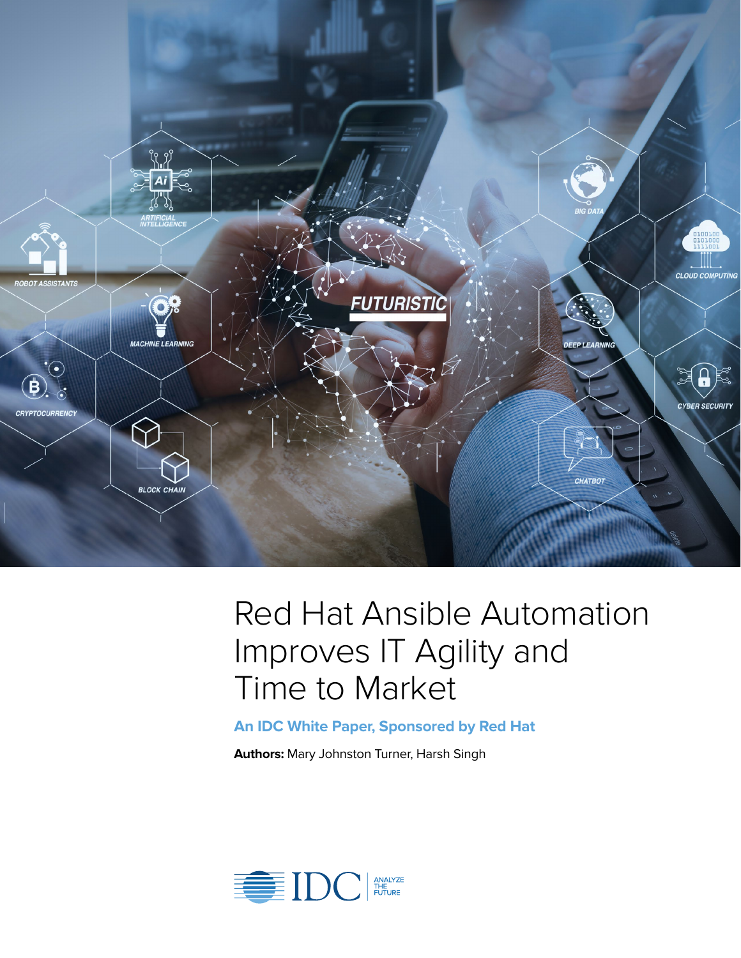

# Red Hat Ansible Automation Improves IT Agility and Time to Market

**An IDC White Paper, Sponsored by Red Hat**

**Authors:** Mary Johnston Turner, Harsh Singh

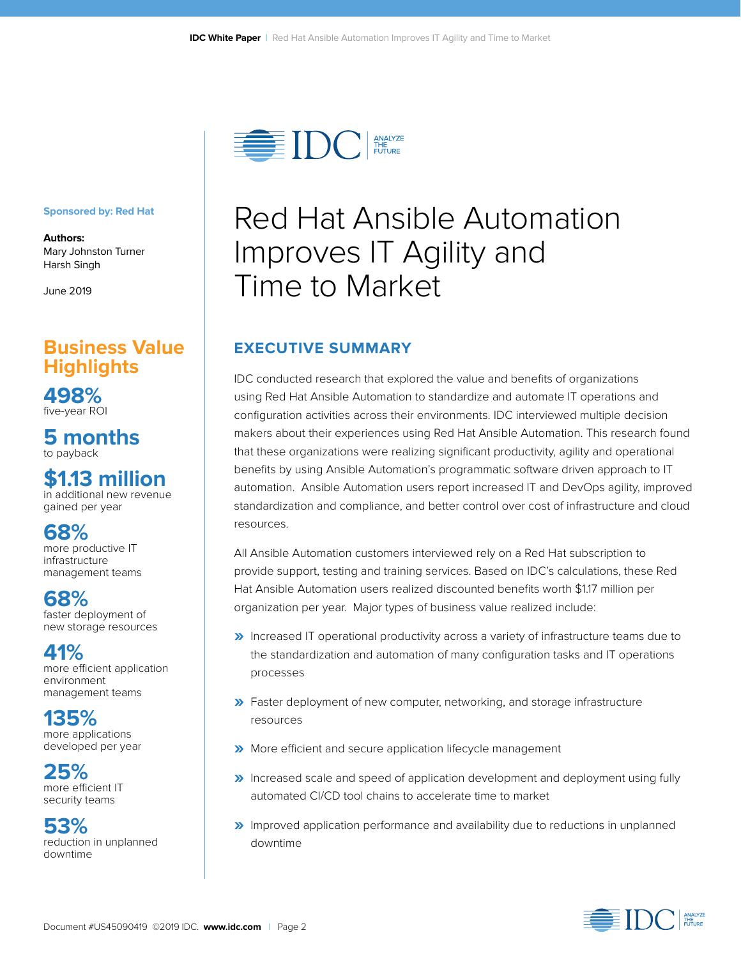

#### **Sponsored by: Red Hat**

**Authors:** Mary Johnston Turner Harsh Singh

June 2019

### **Business Value Highlights**

**498%** five-year ROI

**5 months**  to payback

### **\$1.13 million**

in additional new revenue gained per year

### **68%**

more productive IT infrastructure management teams

**68%**  faster deployment of new storage resources

**41%**  more efficient application environment management teams

**135%**  more applications developed per year

**25%**  more efficient IT security teams

**53%**  reduction in unplanned downtime

# Red Hat Ansible Automation Improves IT Agility and Time to Market

### **EXECUTIVE SUMMARY**

IDC conducted research that explored the value and benefits of organizations using Red Hat Ansible Automation to standardize and automate IT operations and configuration activities across their environments. IDC interviewed multiple decision makers about their experiences using Red Hat Ansible Automation. This research found that these organizations were realizing significant productivity, agility and operational benefits by using Ansible Automation's programmatic software driven approach to IT automation. Ansible Automation users report increased IT and DevOps agility, improved standardization and compliance, and better control over cost of infrastructure and cloud resources.

All Ansible Automation customers interviewed rely on a Red Hat subscription to provide support, testing and training services. Based on IDC's calculations, these Red Hat Ansible Automation users realized discounted benefits worth \$1.17 million per organization per year. Major types of business value realized include:

- **»** Increased IT operational productivity across a variety of infrastructure teams due to the standardization and automation of many configuration tasks and IT operations processes
- **»** Faster deployment of new computer, networking, and storage infrastructure resources
- **»** More efficient and secure application lifecycle management
- **»** Increased scale and speed of application development and deployment using fully automated CI/CD tool chains to accelerate time to market
- **»** Improved application performance and availability due to reductions in unplanned downtime

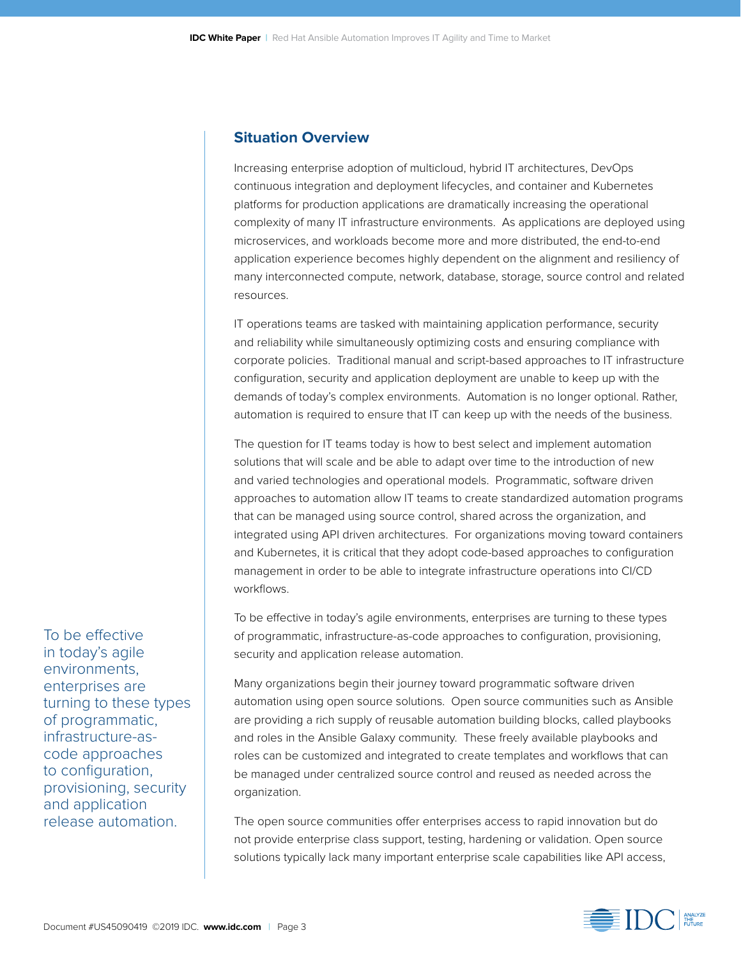#### **Situation Overview**

Increasing enterprise adoption of multicloud, hybrid IT architectures, DevOps continuous integration and deployment lifecycles, and container and Kubernetes platforms for production applications are dramatically increasing the operational complexity of many IT infrastructure environments. As applications are deployed using microservices, and workloads become more and more distributed, the end-to-end application experience becomes highly dependent on the alignment and resiliency of many interconnected compute, network, database, storage, source control and related resources.

IT operations teams are tasked with maintaining application performance, security and reliability while simultaneously optimizing costs and ensuring compliance with corporate policies. Traditional manual and script-based approaches to IT infrastructure configuration, security and application deployment are unable to keep up with the demands of today's complex environments. Automation is no longer optional. Rather, automation is required to ensure that IT can keep up with the needs of the business.

The question for IT teams today is how to best select and implement automation solutions that will scale and be able to adapt over time to the introduction of new and varied technologies and operational models. Programmatic, software driven approaches to automation allow IT teams to create standardized automation programs that can be managed using source control, shared across the organization, and integrated using API driven architectures. For organizations moving toward containers and Kubernetes, it is critical that they adopt code-based approaches to configuration management in order to be able to integrate infrastructure operations into CI/CD workflows.

To be effective in today's agile environments, enterprises are turning to these types of programmatic, infrastructure-as-code approaches to configuration, provisioning, security and application release automation.

Many organizations begin their journey toward programmatic software driven automation using open source solutions. Open source communities such as Ansible are providing a rich supply of reusable automation building blocks, called playbooks and roles in the Ansible Galaxy community. These freely available playbooks and roles can be customized and integrated to create templates and workflows that can be managed under centralized source control and reused as needed across the organization.

The open source communities offer enterprises access to rapid innovation but do not provide enterprise class support, testing, hardening or validation. Open source solutions typically lack many important enterprise scale capabilities like API access,

To be effective in today's agile environments, enterprises are turning to these types of programmatic, infrastructure-ascode approaches to configuration, provisioning, security and application release automation.

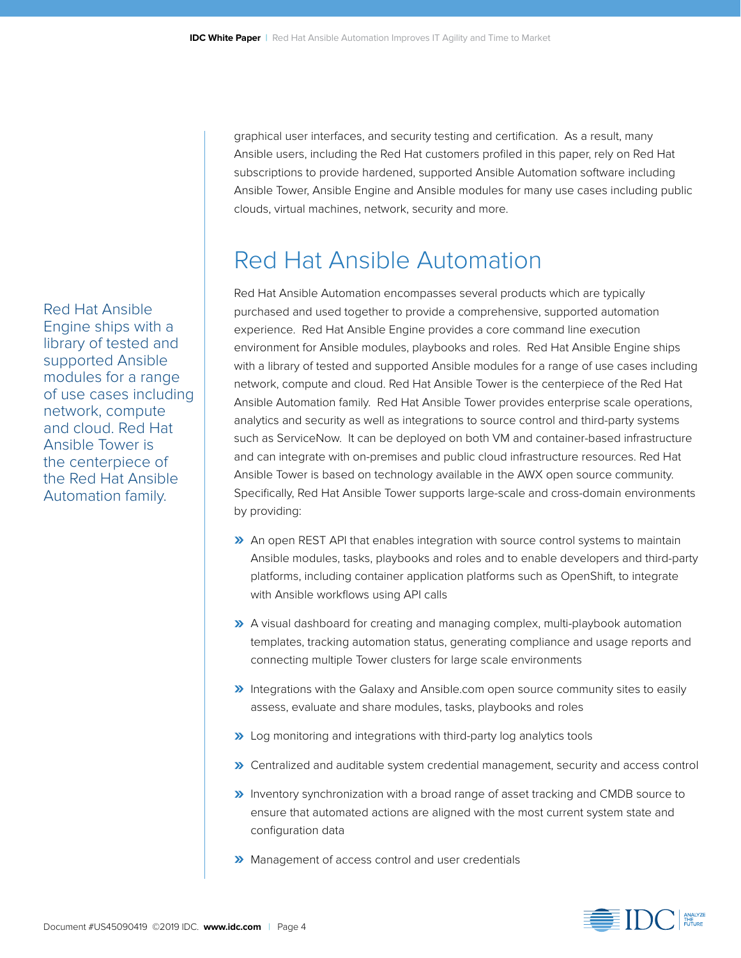graphical user interfaces, and security testing and certification. As a result, many Ansible users, including the Red Hat customers profiled in this paper, rely on Red Hat subscriptions to provide hardened, supported Ansible Automation software including Ansible Tower, Ansible Engine and Ansible modules for many use cases including public clouds, virtual machines, network, security and more.

## Red Hat Ansible Automation

Red Hat Ansible Automation encompasses several products which are typically purchased and used together to provide a comprehensive, supported automation experience. Red Hat Ansible Engine provides a core command line execution environment for Ansible modules, playbooks and roles. Red Hat Ansible Engine ships with a library of tested and supported Ansible modules for a range of use cases including network, compute and cloud. Red Hat Ansible Tower is the centerpiece of the Red Hat Ansible Automation family. Red Hat Ansible Tower provides enterprise scale operations, analytics and security as well as integrations to source control and third-party systems such as ServiceNow. It can be deployed on both VM and container-based infrastructure and can integrate with on-premises and public cloud infrastructure resources. Red Hat Ansible Tower is based on technology available in the AWX open source community. Specifically, Red Hat Ansible Tower supports large-scale and cross-domain environments by providing:

- **»** An open REST API that enables integration with source control systems to maintain Ansible modules, tasks, playbooks and roles and to enable developers and third-party platforms, including container application platforms such as OpenShift, to integrate with Ansible workflows using API calls
- **»** A visual dashboard for creating and managing complex, multi-playbook automation templates, tracking automation status, generating compliance and usage reports and connecting multiple Tower clusters for large scale environments
- **»** Integrations with the Galaxy and Ansible.com open source community sites to easily assess, evaluate and share modules, tasks, playbooks and roles
- **»** Log monitoring and integrations with third-party log analytics tools
- **»** Centralized and auditable system credential management, security and access control
- **»** Inventory synchronization with a broad range of asset tracking and CMDB source to ensure that automated actions are aligned with the most current system state and configuration data
- **»** Management of access control and user credentials

Red Hat Ansible Engine ships with a library of tested and supported Ansible modules for a range of use cases including network, compute and cloud. Red Hat Ansible Tower is the centerpiece of the Red Hat Ansible Automation family.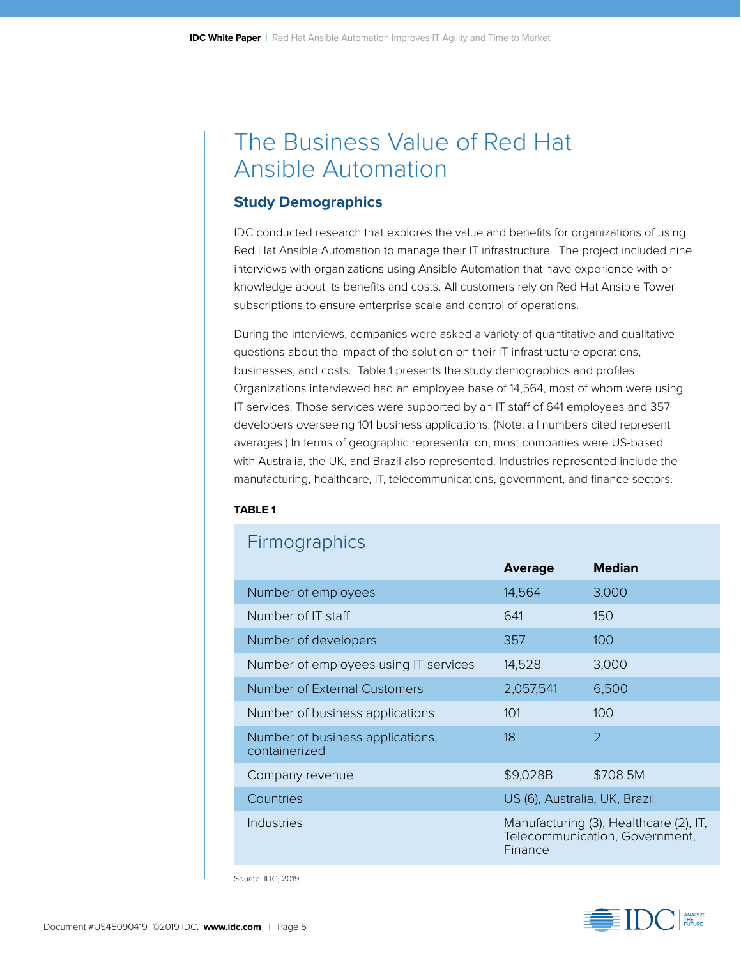## The Business Value of Red Hat Ansible Automation

#### **Study Demographics**

IDC conducted research that explores the value and benefits for organizations of using Red Hat Ansible Automation to manage their IT infrastructure. The project included nine interviews with organizations using Ansible Automation that have experience with or knowledge about its benefits and costs. All customers rely on Red Hat Ansible Tower subscriptions to ensure enterprise scale and control of operations.

During the interviews, companies were asked a variety of quantitative and qualitative questions about the impact of the solution on their IT infrastructure operations, businesses, and costs. Table 1 presents the study demographics and profiles. Organizations interviewed had an employee base of 14,564, most of whom were using IT services. Those services were supported by an IT staff of 641 employees and 357 developers overseeing 101 business applications. (Note: all numbers cited represent averages.) In terms of geographic representation, most companies were US-based with Australia, the UK, and Brazil also represented. Industries represented include the manufacturing, healthcare, IT, telecommunications, government, and finance sectors.

#### **TABLE 1**

### **Firmographics**

|                                                   | <b>Average</b>                                                                      | <b>Median</b> |  |
|---------------------------------------------------|-------------------------------------------------------------------------------------|---------------|--|
| Number of employees                               | 14,564                                                                              | 3,000         |  |
| Number of IT staff                                | 641                                                                                 | 150           |  |
| Number of developers                              | 357                                                                                 | 100           |  |
| Number of employees using IT services             | 14,528                                                                              | 3,000         |  |
| Number of External Customers                      | 2,057,541                                                                           | 6,500         |  |
| Number of business applications                   | 101                                                                                 | 100           |  |
| Number of business applications,<br>containerized | 18                                                                                  | $\mathcal{P}$ |  |
| Company revenue                                   | \$9,028B                                                                            | \$708.5M      |  |
| Countries                                         | US (6), Australia, UK, Brazil                                                       |               |  |
| Industries                                        | Manufacturing (3), Healthcare (2), IT,<br>Telecommunication, Government,<br>Finance |               |  |

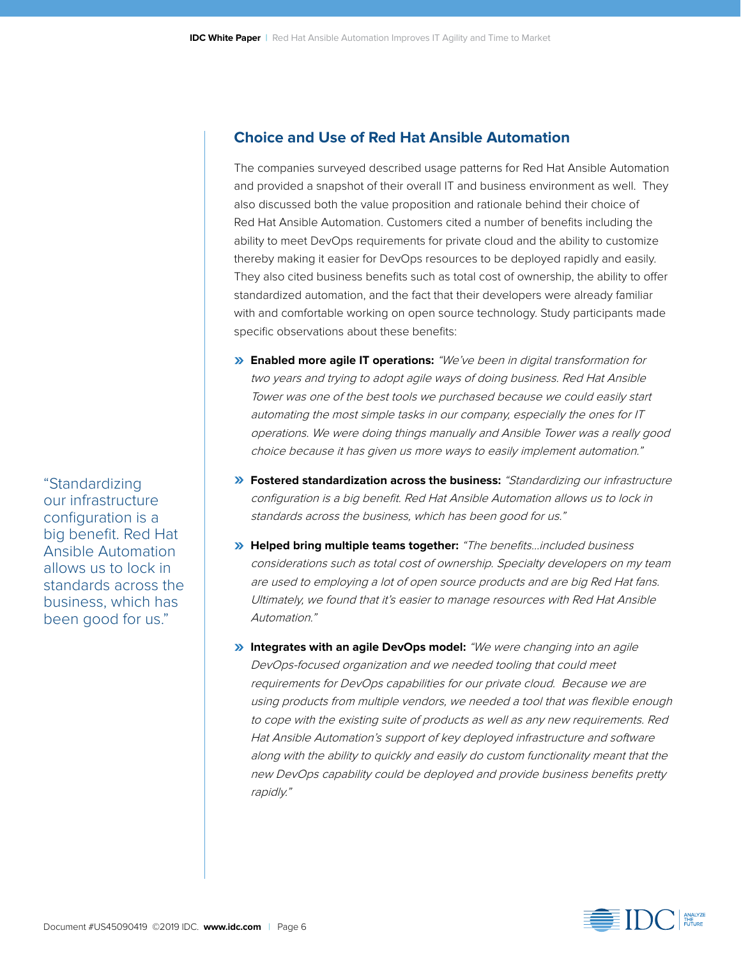#### **Choice and Use of Red Hat Ansible Automation**

The companies surveyed described usage patterns for Red Hat Ansible Automation and provided a snapshot of their overall IT and business environment as well. They also discussed both the value proposition and rationale behind their choice of Red Hat Ansible Automation. Customers cited a number of benefits including the ability to meet DevOps requirements for private cloud and the ability to customize thereby making it easier for DevOps resources to be deployed rapidly and easily. They also cited business benefits such as total cost of ownership, the ability to offer standardized automation, and the fact that their developers were already familiar with and comfortable working on open source technology. Study participants made specific observations about these benefits:

- **» Enabled more agile IT operations:** "We've been in digital transformation for two years and trying to adopt agile ways of doing business. Red Hat Ansible Tower was one of the best tools we purchased because we could easily start automating the most simple tasks in our company, especially the ones for IT operations. We were doing things manually and Ansible Tower was a really good choice because it has given us more ways to easily implement automation."
- **» Fostered standardization across the business:** "Standardizing our infrastructure configuration is a big benefit. Red Hat Ansible Automation allows us to lock in standards across the business, which has been good for us."
- **» Helped bring multiple teams together:** "The benefits…included business considerations such as total cost of ownership. Specialty developers on my team are used to employing a lot of open source products and are big Red Hat fans. Ultimately, we found that it's easier to manage resources with Red Hat Ansible Automation."
- **» Integrates with an agile DevOps model:** "We were changing into an agile DevOps-focused organization and we needed tooling that could meet requirements for DevOps capabilities for our private cloud. Because we are using products from multiple vendors, we needed a tool that was flexible enough to cope with the existing suite of products as well as any new requirements. Red Hat Ansible Automation's support of key deployed infrastructure and software along with the ability to quickly and easily do custom functionality meant that the new DevOps capability could be deployed and provide business benefits pretty rapidly."



"Standardizing our infrastructure configuration is a big benefit. Red Hat Ansible Automation allows us to lock in standards across the business, which has been good for us."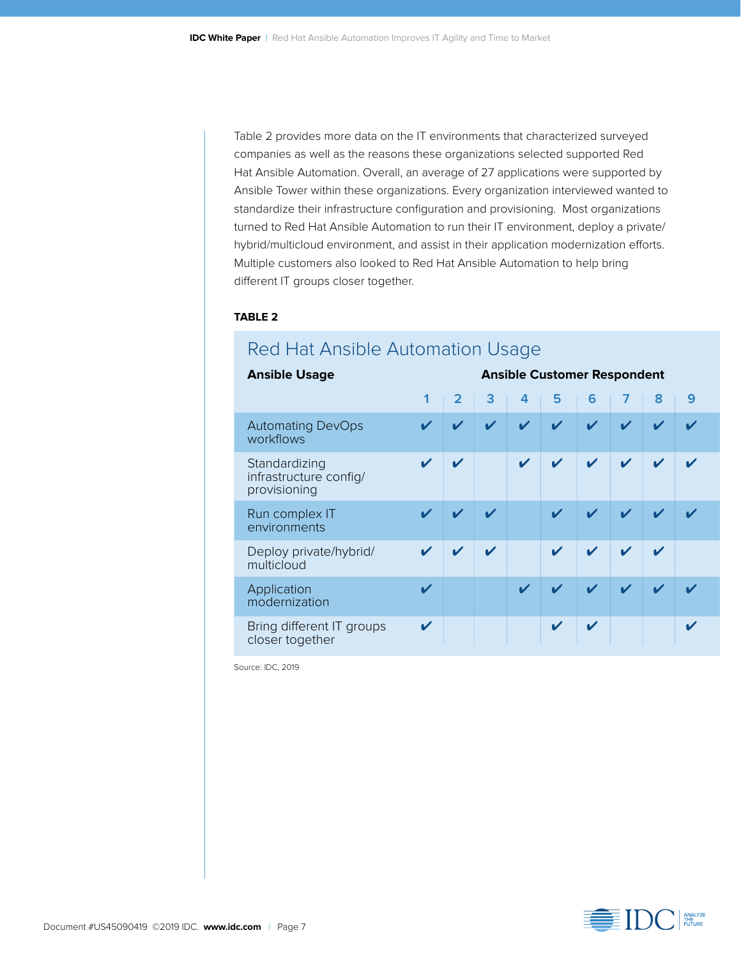Table 2 provides more data on the IT environments that characterized surveyed companies as well as the reasons these organizations selected supported Red Hat Ansible Automation. Overall, an average of 27 applications were supported by Ansible Tower within these organizations. Every organization interviewed wanted to standardize their infrastructure configuration and provisioning. Most organizations turned to Red Hat Ansible Automation to run their IT environment, deploy a private/ hybrid/multicloud environment, and assist in their application modernization efforts. Multiple customers also looked to Red Hat Ansible Automation to help bring different IT groups closer together.

#### **TABLE 2**

| <b>Ansible Usage</b>                                    |   |                |   |                            | <b>Ansible Customer Respondent</b> |                            |                            |                            |                            |
|---------------------------------------------------------|---|----------------|---|----------------------------|------------------------------------|----------------------------|----------------------------|----------------------------|----------------------------|
|                                                         | 1 | $\overline{2}$ | 3 | 4                          | 5                                  | 6                          |                            | 8                          | 9                          |
| <b>Automating DevOps</b><br>workflows                   |   | ✔              | V | $\boldsymbol{\nu}$         | $\boldsymbol{\mathcal{U}}$         | V                          | ✔                          | $\boldsymbol{\mathscr{L}}$ |                            |
| Standardizing<br>infrastructure config/<br>provisioning |   | ✔              |   | $\boldsymbol{\mathcal{U}}$ | $\boldsymbol{\mathcal{U}}$         | $\boldsymbol{\mathcal{U}}$ | $\boldsymbol{\mathcal{U}}$ | $\boldsymbol{\mathcal{U}}$ | $\boldsymbol{\mathcal{U}}$ |
| Run complex IT<br>environments                          | ✔ | V              | ✔ |                            |                                    | $\boldsymbol{\mathcal{U}}$ |                            | ✔                          |                            |
| Deploy private/hybrid/<br>multicloud                    |   | V              | ✔ |                            | ✔                                  | ✔                          | V                          | ✔                          |                            |
| Application<br>modernization                            |   |                |   | ✔                          | V                                  | $\boldsymbol{\mathcal{U}}$ | ✔                          | V                          |                            |
| Bring different IT groups<br>closer together            | ✔ |                |   |                            | ✔                                  | ✔                          |                            |                            |                            |

### Red Hat Ansible Automation Usage

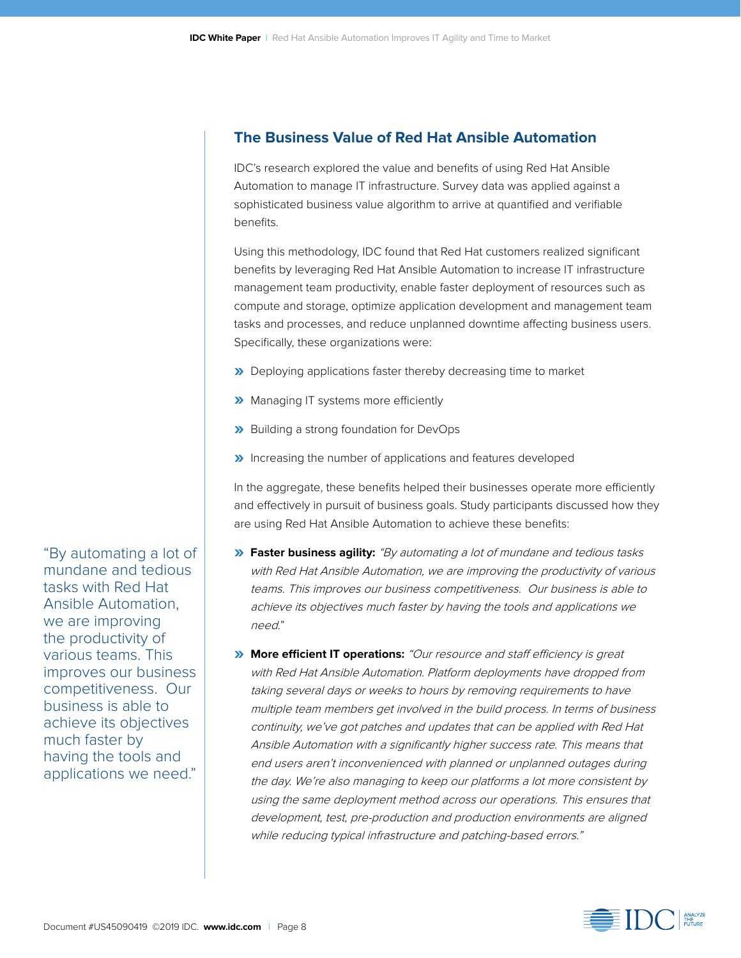#### **The Business Value of Red Hat Ansible Automation**

IDC's research explored the value and benefits of using Red Hat Ansible Automation to manage IT infrastructure. Survey data was applied against a sophisticated business value algorithm to arrive at quantified and verifiable benefits.

Using this methodology, IDC found that Red Hat customers realized significant benefits by leveraging Red Hat Ansible Automation to increase IT infrastructure management team productivity, enable faster deployment of resources such as compute and storage, optimize application development and management team tasks and processes, and reduce unplanned downtime affecting business users. Specifically, these organizations were:

- **»** Deploying applications faster thereby decreasing time to market
- **»** Managing IT systems more efficiently
- **»** Building a strong foundation for DevOps
- **»** Increasing the number of applications and features developed

In the aggregate, these benefits helped their businesses operate more efficiently and effectively in pursuit of business goals. Study participants discussed how they are using Red Hat Ansible Automation to achieve these benefits:

- **» Faster business agility:** "By automating a lot of mundane and tedious tasks with Red Hat Ansible Automation, we are improving the productivity of various teams. This improves our business competitiveness. Our business is able to achieve its objectives much faster by having the tools and applications we need."
- **» More efficient IT operations:** "Our resource and staff efficiency is great with Red Hat Ansible Automation. Platform deployments have dropped from taking several days or weeks to hours by removing requirements to have multiple team members get involved in the build process. In terms of business continuity, we've got patches and updates that can be applied with Red Hat Ansible Automation with a significantly higher success rate. This means that end users aren't inconvenienced with planned or unplanned outages during the day. We're also managing to keep our platforms a lot more consistent by using the same deployment method across our operations. This ensures that development, test, pre-production and production environments are aligned while reducing typical infrastructure and patching-based errors."



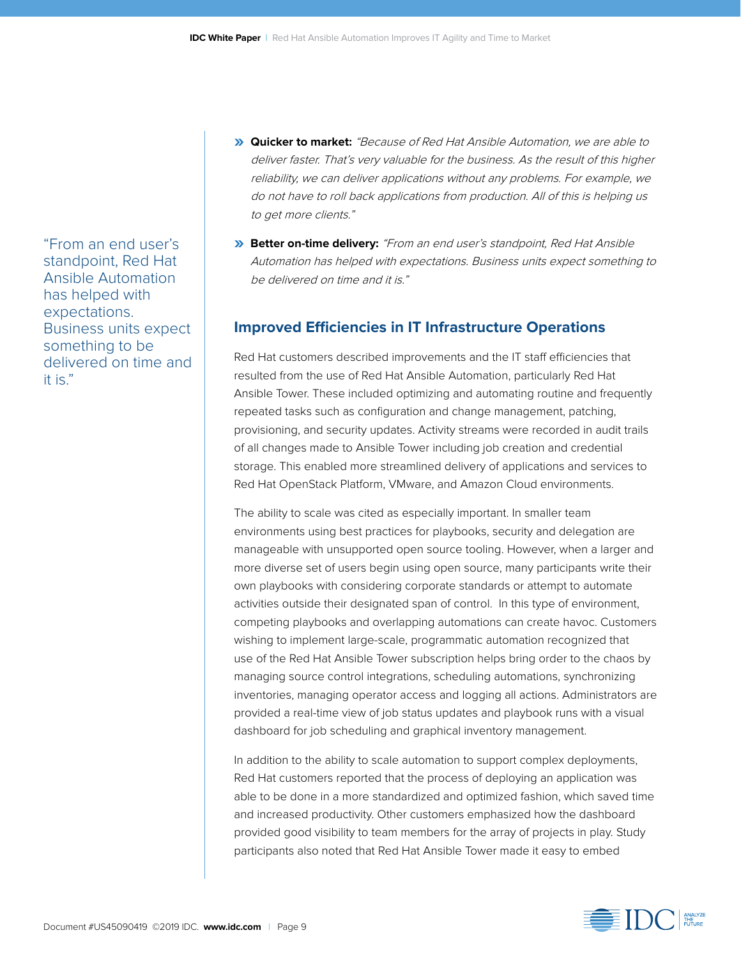"From an end user's standpoint, Red Hat Ansible Automation has helped with expectations. Business units expect something to be delivered on time and it is."

- **» Quicker to market:** "Because of Red Hat Ansible Automation, we are able to deliver faster. That's very valuable for the business. As the result of this higher reliability, we can deliver applications without any problems. For example, we do not have to roll back applications from production. All of this is helping us to get more clients."
- **» Better on-time delivery:** "From an end user's standpoint, Red Hat Ansible Automation has helped with expectations. Business units expect something to be delivered on time and it is."

#### **Improved Efficiencies in IT Infrastructure Operations**

Red Hat customers described improvements and the IT staff efficiencies that resulted from the use of Red Hat Ansible Automation, particularly Red Hat Ansible Tower. These included optimizing and automating routine and frequently repeated tasks such as configuration and change management, patching, provisioning, and security updates. Activity streams were recorded in audit trails of all changes made to Ansible Tower including job creation and credential storage. This enabled more streamlined delivery of applications and services to Red Hat OpenStack Platform, VMware, and Amazon Cloud environments.

The ability to scale was cited as especially important. In smaller team environments using best practices for playbooks, security and delegation are manageable with unsupported open source tooling. However, when a larger and more diverse set of users begin using open source, many participants write their own playbooks with considering corporate standards or attempt to automate activities outside their designated span of control. In this type of environment, competing playbooks and overlapping automations can create havoc. Customers wishing to implement large-scale, programmatic automation recognized that use of the Red Hat Ansible Tower subscription helps bring order to the chaos by managing source control integrations, scheduling automations, synchronizing inventories, managing operator access and logging all actions. Administrators are provided a real-time view of job status updates and playbook runs with a visual dashboard for job scheduling and graphical inventory management.

In addition to the ability to scale automation to support complex deployments, Red Hat customers reported that the process of deploying an application was able to be done in a more standardized and optimized fashion, which saved time and increased productivity. Other customers emphasized how the dashboard provided good visibility to team members for the array of projects in play. Study participants also noted that Red Hat Ansible Tower made it easy to embed

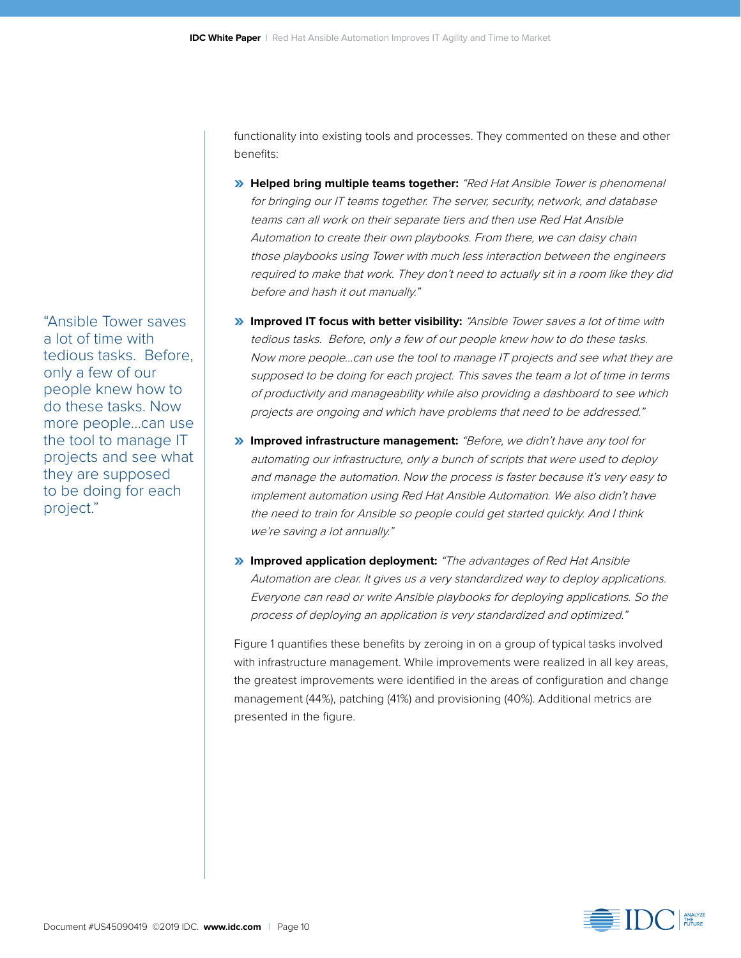functionality into existing tools and processes. They commented on these and other benefits:

- **» Helped bring multiple teams together:** "Red Hat Ansible Tower is phenomenal for bringing our IT teams together. The server, security, network, and database teams can all work on their separate tiers and then use Red Hat Ansible Automation to create their own playbooks. From there, we can daisy chain those playbooks using Tower with much less interaction between the engineers required to make that work. They don't need to actually sit in a room like they did before and hash it out manually."
- **» Improved IT focus with better visibility:** "Ansible Tower saves a lot of time with tedious tasks. Before, only a few of our people knew how to do these tasks. Now more people…can use the tool to manage IT projects and see what they are supposed to be doing for each project. This saves the team a lot of time in terms of productivity and manageability while also providing a dashboard to see which projects are ongoing and which have problems that need to be addressed."
- **» Improved infrastructure management:** "Before, we didn't have any tool for automating our infrastructure, only a bunch of scripts that were used to deploy and manage the automation. Now the process is faster because it's very easy to implement automation using Red Hat Ansible Automation. We also didn't have the need to train for Ansible so people could get started quickly. And I think we're saving a lot annually."
- **» Improved application deployment:** "The advantages of Red Hat Ansible Automation are clear. It gives us a very standardized way to deploy applications. Everyone can read or write Ansible playbooks for deploying applications. So the process of deploying an application is very standardized and optimized."

Figure 1 quantifies these benefits by zeroing in on a group of typical tasks involved with infrastructure management. While improvements were realized in all key areas, the greatest improvements were identified in the areas of configuration and change management (44%), patching (41%) and provisioning (40%). Additional metrics are presented in the figure.



"Ansible Tower saves a lot of time with tedious tasks. Before, only a few of our people knew how to do these tasks. Now more people…can use the tool to manage IT projects and see what they are supposed to be doing for each project."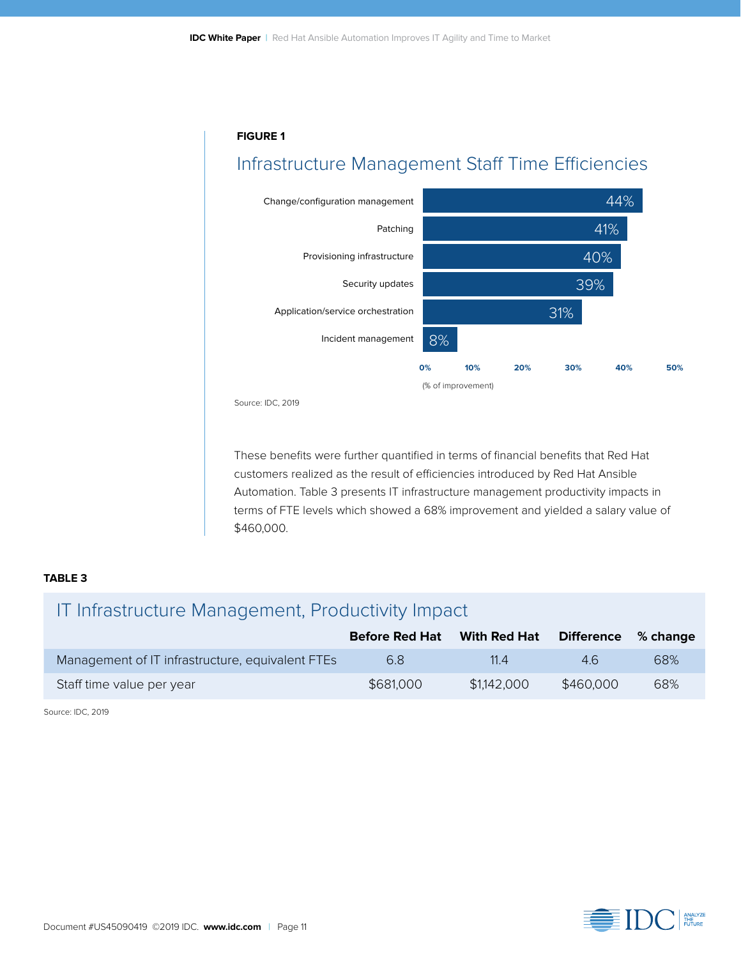#### **FIGURE 1**

### Infrastructure Management Staff Time Efficiencies



Source: IDC, 2019

These benefits were further quantified in terms of financial benefits that Red Hat customers realized as the result of efficiencies introduced by Red Hat Ansible Automation. Table 3 presents IT infrastructure management productivity impacts in terms of FTE levels which showed a 68% improvement and yielded a salary value of \$460,000.

#### **TABLE 3**

### IT Infrastructure Management, Productivity Impact

|                                                  | <b>Before Red Hat</b> | With Red Hat | <b>Difference</b> | $\%$ change |
|--------------------------------------------------|-----------------------|--------------|-------------------|-------------|
| Management of IT infrastructure, equivalent FTEs | 6.8                   | 11.4         | 46                | 68%         |
| Staff time value per year                        | \$681,000             | \$1,142,000  | \$460,000         | 68%         |

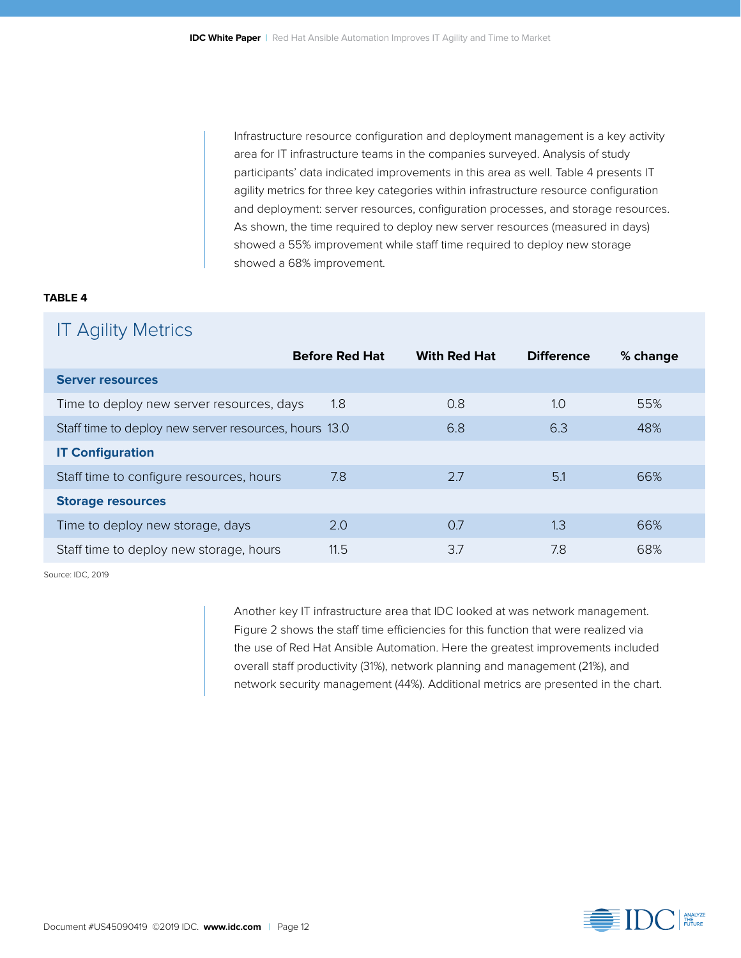Infrastructure resource configuration and deployment management is a key activity area for IT infrastructure teams in the companies surveyed. Analysis of study participants' data indicated improvements in this area as well. Table 4 presents IT agility metrics for three key categories within infrastructure resource configuration and deployment: server resources, configuration processes, and storage resources. As shown, the time required to deploy new server resources (measured in days) showed a 55% improvement while staff time required to deploy new storage showed a 68% improvement.

#### **TABLE 4**

### IT Agility Metrics

|                                                       | <b>Before Red Hat</b> | <b>With Red Hat</b> | <b>Difference</b> | % change |
|-------------------------------------------------------|-----------------------|---------------------|-------------------|----------|
| <b>Server resources</b>                               |                       |                     |                   |          |
| Time to deploy new server resources, days             | 1.8                   | 0.8                 | 1.0               | 55%      |
| Staff time to deploy new server resources, hours 13.0 |                       | 6.8                 | 6.3               | 48%      |
| <b>IT Configuration</b>                               |                       |                     |                   |          |
| Staff time to configure resources, hours              | 7.8                   | 2.7                 | 5.1               | 66%      |
| <b>Storage resources</b>                              |                       |                     |                   |          |
| Time to deploy new storage, days                      | 2.0                   | 0.7                 | 1.3               | 66%      |
| Staff time to deploy new storage, hours               | 11.5                  | 3.7                 | 7.8               | 68%      |

Source: IDC, 2019

Another key IT infrastructure area that IDC looked at was network management. Figure 2 shows the staff time efficiencies for this function that were realized via the use of Red Hat Ansible Automation. Here the greatest improvements included overall staff productivity (31%), network planning and management (21%), and network security management (44%). Additional metrics are presented in the chart.

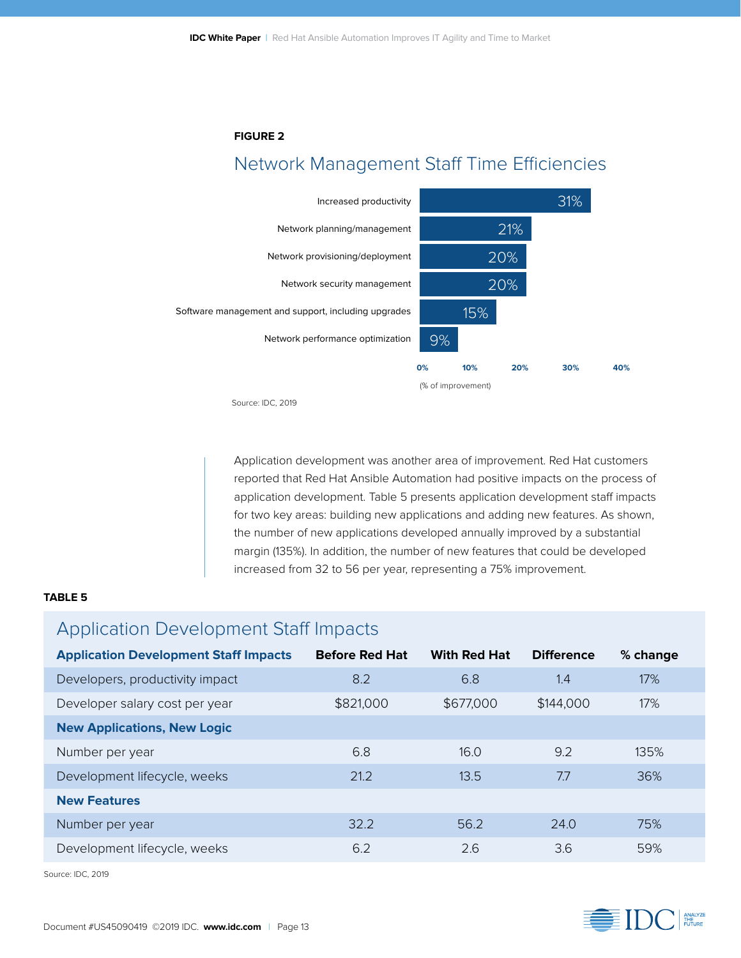#### **FIGURE 2**

### Network Management Staff Time Efficiencies



Source: IDC, 2019

Application development was another area of improvement. Red Hat customers reported that Red Hat Ansible Automation had positive impacts on the process of application development. Table 5 presents application development staff impacts for two key areas: building new applications and adding new features. As shown, the number of new applications developed annually improved by a substantial margin (135%). In addition, the number of new features that could be developed increased from 32 to 56 per year, representing a 75% improvement.

#### **TABLE 5**

### Application Development Staff Impacts

| <b>Application Development Staff Impacts</b> | <b>Before Red Hat</b> | <b>With Red Hat</b> | <b>Difference</b> | % change |
|----------------------------------------------|-----------------------|---------------------|-------------------|----------|
| Developers, productivity impact              | 8.2                   | 6.8                 | 1.4               | 17%      |
| Developer salary cost per year               | \$821,000             | \$677,000           | \$144,000         | 17%      |
| <b>New Applications, New Logic</b>           |                       |                     |                   |          |
| Number per year                              | 6.8                   | 16.0                | 9.2               | 135%     |
| Development lifecycle, weeks                 | 21.2                  | 13.5                | 7.7               | 36%      |
| <b>New Features</b>                          |                       |                     |                   |          |
| Number per year                              | 32.2                  | 56.2                | 74.0              | 75%      |
| Development lifecycle, weeks                 | 6.2                   | 2.6                 | 3.6               | 59%      |

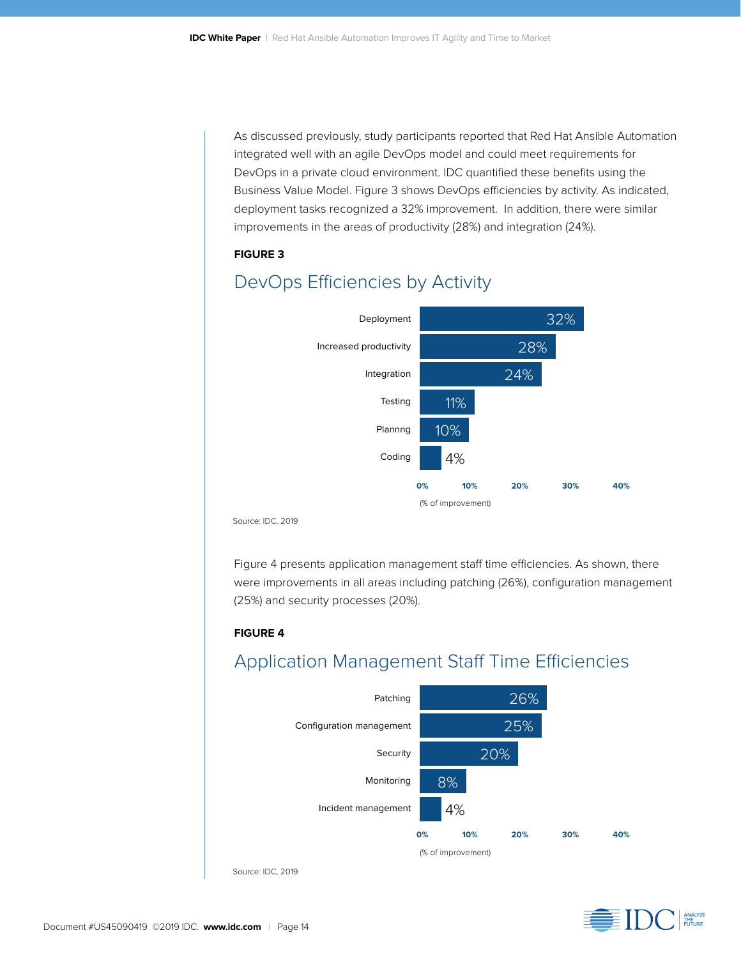As discussed previously, study participants reported that Red Hat Ansible Automation integrated well with an agile DevOps model and could meet requirements for DevOps in a private cloud environment. IDC quantified these benefits using the Business Value Model. Figure 3 shows DevOps efficiencies by activity. As indicated, deployment tasks recognized a 32% improvement. In addition, there were similar improvements in the areas of productivity (28%) and integration (24%).

#### **FIGURE 3**



### DevOps Efficiencies by Activity

Source: IDC, 2019

Figure 4 presents application management staff time efficiencies. As shown, there were improvements in all areas including patching (26%), configuration management (25%) and security processes (20%).

#### **FIGURE 4**

### Application Management Staff Time Efficiencies



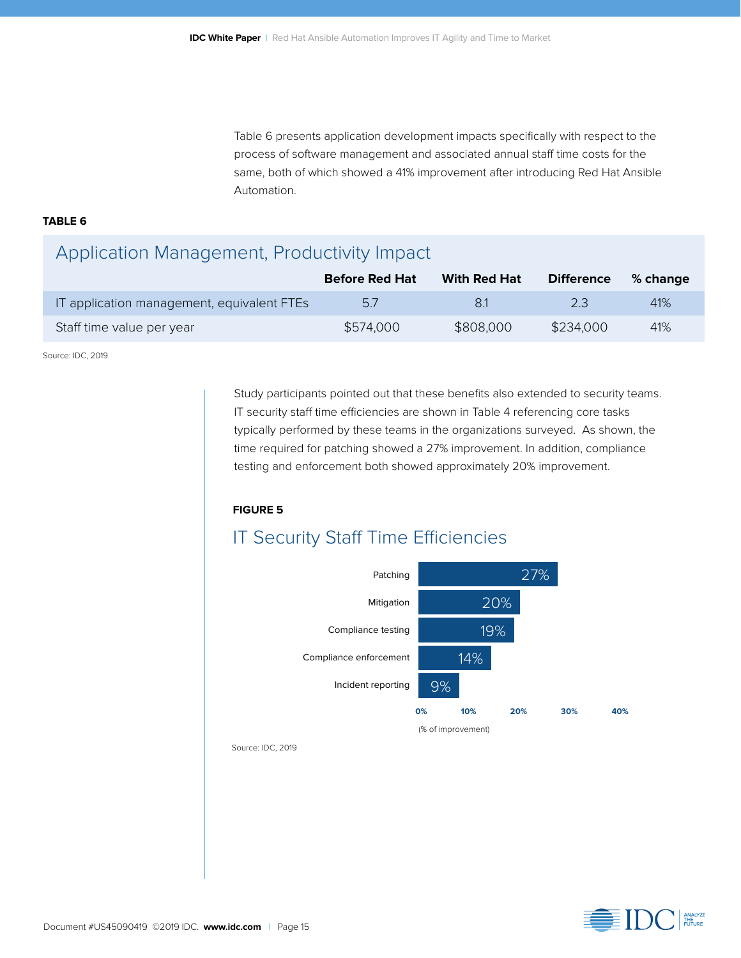Table 6 presents application development impacts specifically with respect to the process of software management and associated annual staff time costs for the same, both of which showed a 41% improvement after introducing Red Hat Ansible Automation.

#### **TABLE 6**

### Application Management, Productivity Impact

|                                            | <b>Before Red Hat</b> | With Red Hat | <b>Difference</b> | $%$ change |
|--------------------------------------------|-----------------------|--------------|-------------------|------------|
| IT application management, equivalent FTEs | 5.7                   | 81           | 23                | 41%        |
| Staff time value per year                  | \$574,000             | \$808,000    | \$234,000         | 41%        |

Source: IDC, 2019

Study participants pointed out that these benefits also extended to security teams. IT security staff time efficiencies are shown in Table 4 referencing core tasks typically performed by these teams in the organizations surveyed. As shown, the time required for patching showed a 27% improvement. In addition, compliance testing and enforcement both showed approximately 20% improvement.

#### **FIGURE 5**

### IT Security Staff Time Efficiencies



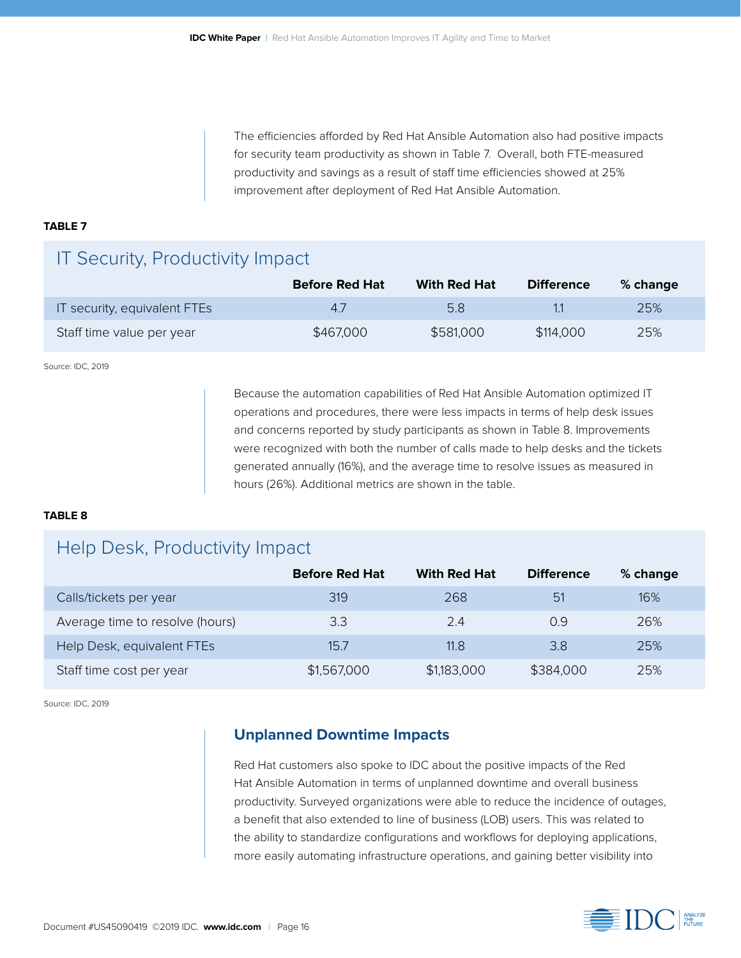The efficiencies afforded by Red Hat Ansible Automation also had positive impacts for security team productivity as shown in Table 7. Overall, both FTE-measured productivity and savings as a result of staff time efficiencies showed at 25% improvement after deployment of Red Hat Ansible Automation.

#### **TABLE 7**

### IT Security, Productivity Impact

|                              | <b>Before Red Hat</b> | With Red Hat | <b>Difference</b> | % change |
|------------------------------|-----------------------|--------------|-------------------|----------|
| IT security, equivalent FTEs | 47                    | 5.8          |                   | 25%      |
| Staff time value per year    | \$467,000             | \$581,000    | \$114,000         | 25%      |

Source: IDC, 2019

Because the automation capabilities of Red Hat Ansible Automation optimized IT operations and procedures, there were less impacts in terms of help desk issues and concerns reported by study participants as shown in Table 8. Improvements were recognized with both the number of calls made to help desks and the tickets generated annually (16%), and the average time to resolve issues as measured in hours (26%). Additional metrics are shown in the table.

#### **TABLE 8**

### Help Desk, Productivity Impact

|                                 | <b>Before Red Hat</b> | <b>With Red Hat</b> | <b>Difference</b> | % change |
|---------------------------------|-----------------------|---------------------|-------------------|----------|
| Calls/tickets per year          | 319                   | 268                 | 51                | 16%      |
| Average time to resolve (hours) | 3.3                   | 2.4                 | 0.9               | 26%      |
| Help Desk, equivalent FTEs      | 15.7                  | 11.8                | 3.8               | 25%      |
| Staff time cost per year        | \$1,567,000           | \$1,183,000         | \$384,000         | 25%      |

Source: IDC, 2019

#### **Unplanned Downtime Impacts**

Red Hat customers also spoke to IDC about the positive impacts of the Red Hat Ansible Automation in terms of unplanned downtime and overall business productivity. Surveyed organizations were able to reduce the incidence of outages, a benefit that also extended to line of business (LOB) users. This was related to the ability to standardize configurations and workflows for deploying applications, more easily automating infrastructure operations, and gaining better visibility into

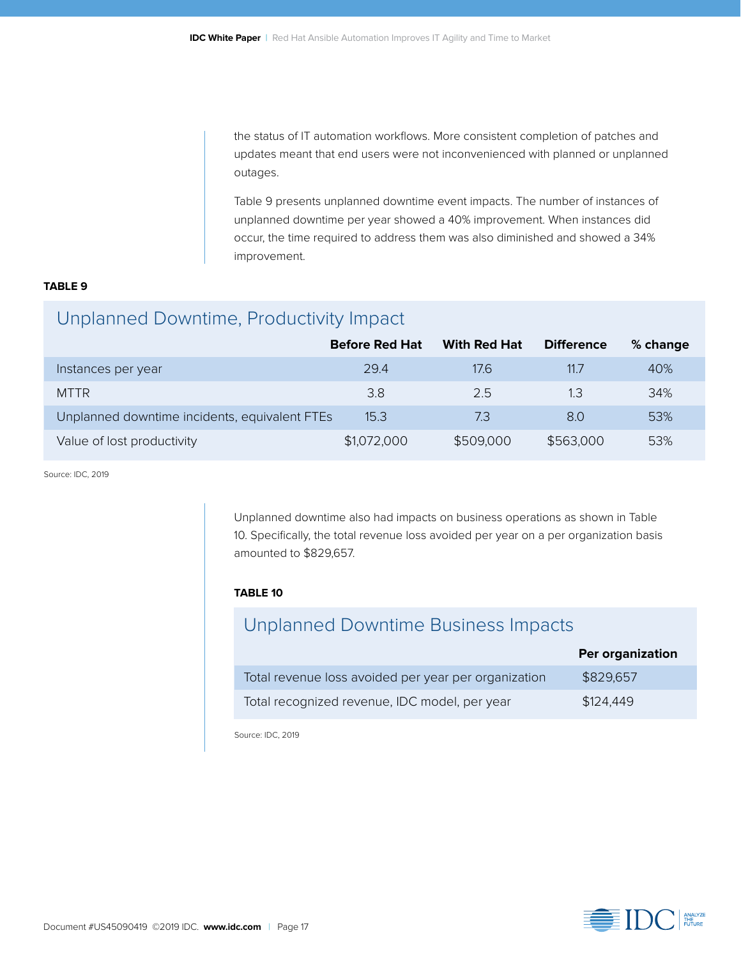the status of IT automation workflows. More consistent completion of patches and updates meant that end users were not inconvenienced with planned or unplanned outages.

Table 9 presents unplanned downtime event impacts. The number of instances of unplanned downtime per year showed a 40% improvement. When instances did occur, the time required to address them was also diminished and showed a 34% improvement.

#### **TABLE 9**

### Unplanned Downtime, Productivity Impact

|                                               | <b>Before Red Hat</b> | <b>With Red Hat</b> | <b>Difference</b> | % change |
|-----------------------------------------------|-----------------------|---------------------|-------------------|----------|
| Instances per year                            | 29.4                  | 17.6                | 11.7              | 40%      |
| <b>MTTR</b>                                   | 3.8                   | 2.5                 | 1.3               | 34%      |
| Unplanned downtime incidents, equivalent FTEs | 15.3                  | 7.3                 | 8.0               | 53%      |
| Value of lost productivity                    | \$1,072,000           | \$509,000           | \$563,000         | 53%      |

Source: IDC, 2019

Unplanned downtime also had impacts on business operations as shown in Table 10. Specifically, the total revenue loss avoided per year on a per organization basis amounted to \$829,657.

#### **TABLE 10**

### Unplanned Downtime Business Impacts

|                                                      | Per organization |
|------------------------------------------------------|------------------|
| Total revenue loss avoided per year per organization | \$829,657        |
| Total recognized revenue, IDC model, per year        | \$124,449        |

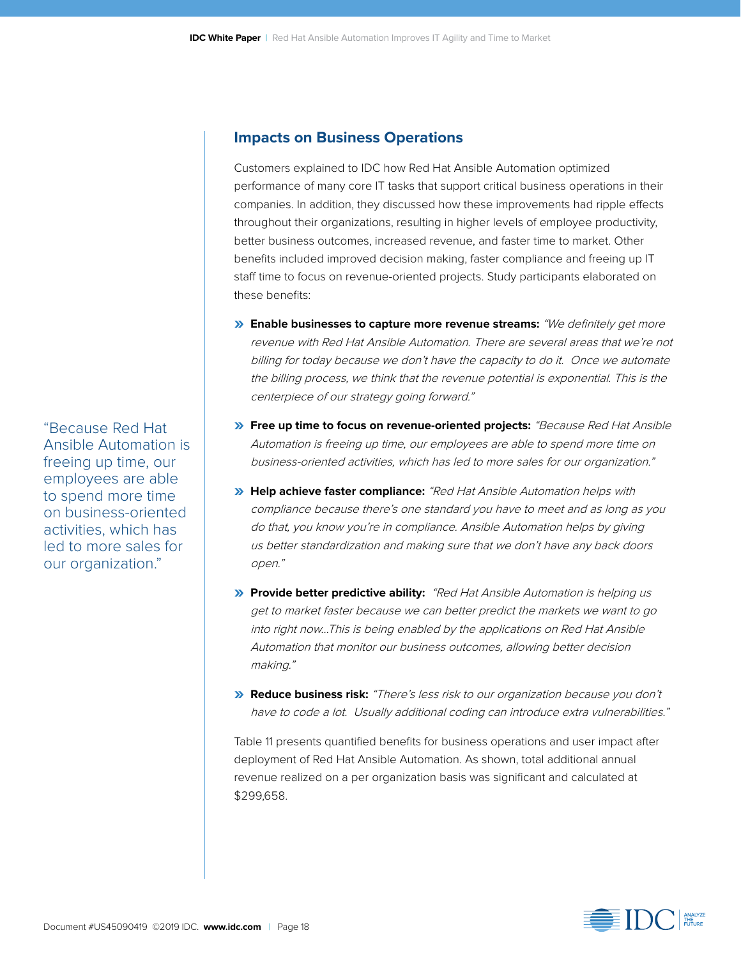#### **Impacts on Business Operations**

Customers explained to IDC how Red Hat Ansible Automation optimized performance of many core IT tasks that support critical business operations in their companies. In addition, they discussed how these improvements had ripple effects throughout their organizations, resulting in higher levels of employee productivity, better business outcomes, increased revenue, and faster time to market. Other benefits included improved decision making, faster compliance and freeing up IT staff time to focus on revenue-oriented projects. Study participants elaborated on these benefits:

- **» Enable businesses to capture more revenue streams:** "We definitely get more revenue with Red Hat Ansible Automation. There are several areas that we're not billing for today because we don't have the capacity to do it. Once we automate the billing process, we think that the revenue potential is exponential. This is the centerpiece of our strategy going forward."
- **» Free up time to focus on revenue-oriented projects:** "Because Red Hat Ansible Automation is freeing up time, our employees are able to spend more time on business-oriented activities, which has led to more sales for our organization."
- **» Help achieve faster compliance:** "Red Hat Ansible Automation helps with compliance because there's one standard you have to meet and as long as you do that, you know you're in compliance. Ansible Automation helps by giving us better standardization and making sure that we don't have any back doors open."
- **» Provide better predictive ability:** "Red Hat Ansible Automation is helping us get to market faster because we can better predict the markets we want to go into right now…This is being enabled by the applications on Red Hat Ansible Automation that monitor our business outcomes, allowing better decision making."
- **» Reduce business risk:** "There's less risk to our organization because you don't have to code a lot. Usually additional coding can introduce extra vulnerabilities."

Table 11 presents quantified benefits for business operations and user impact after deployment of Red Hat Ansible Automation. As shown, total additional annual revenue realized on a per organization basis was significant and calculated at \$299,658.



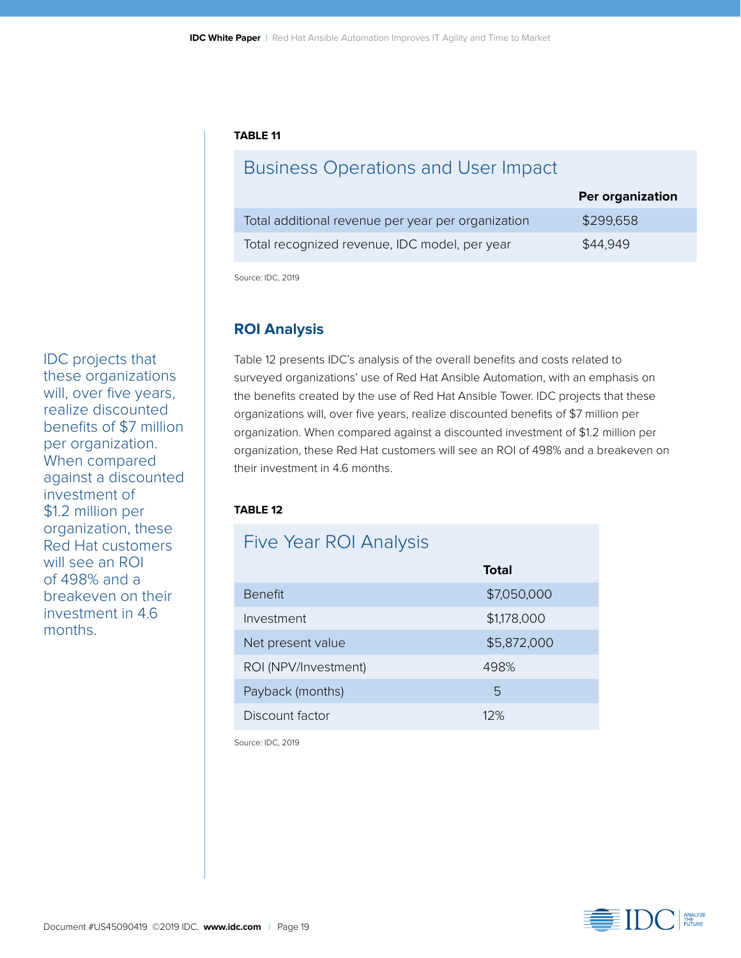#### **TABLE 11**

### Business Operations and User Impact

|                                                    | Per organization |
|----------------------------------------------------|------------------|
| Total additional revenue per year per organization | \$299,658        |
| Total recognized revenue, IDC model, per year      | \$44.949         |

Source: IDC, 2019

#### **ROI Analysis**

Table 12 presents IDC's analysis of the overall benefits and costs related to surveyed organizations' use of Red Hat Ansible Automation, with an emphasis on the benefits created by the use of Red Hat Ansible Tower. IDC projects that these organizations will, over five years, realize discounted benefits of \$7 million per organization. When compared against a discounted investment of \$1.2 million per organization, these Red Hat customers will see an ROI of 498% and a breakeven on their investment in 4.6 months.

#### **TABLE 12**

| <b>Five Year ROI Analysis</b> |             |
|-------------------------------|-------------|
|                               | Total       |
| <b>Benefit</b>                | \$7,050,000 |
| Investment                    | \$1,178,000 |
| Net present value             | \$5,872,000 |
| ROI (NPV/Investment)          | 498%        |
| Payback (months)              | 5           |
| Discount factor               | 12%         |

Source: IDC, 2019



IDC projects that these organizations will, over five years, realize discounted benefits of \$7 million per organization. When compared against a discounted investment of \$1.2 million per organization, these Red Hat customers will see an ROI of 498% and a breakeven on their investment in 4.6 months.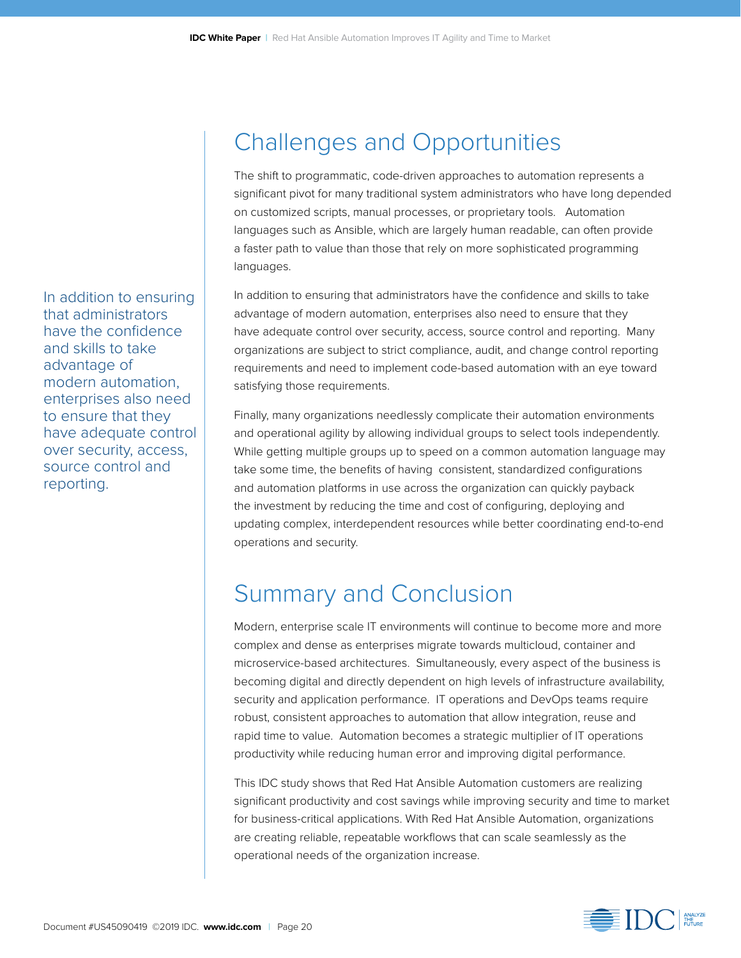In addition to ensuring that administrators have the confidence and skills to take advantage of modern automation, enterprises also need to ensure that they have adequate control over security, access, source control and reporting.

## Challenges and Opportunities

The shift to programmatic, code-driven approaches to automation represents a significant pivot for many traditional system administrators who have long depended on customized scripts, manual processes, or proprietary tools. Automation languages such as Ansible, which are largely human readable, can often provide a faster path to value than those that rely on more sophisticated programming languages.

In addition to ensuring that administrators have the confidence and skills to take advantage of modern automation, enterprises also need to ensure that they have adequate control over security, access, source control and reporting. Many organizations are subject to strict compliance, audit, and change control reporting requirements and need to implement code-based automation with an eye toward satisfying those requirements.

Finally, many organizations needlessly complicate their automation environments and operational agility by allowing individual groups to select tools independently. While getting multiple groups up to speed on a common automation language may take some time, the benefits of having consistent, standardized configurations and automation platforms in use across the organization can quickly payback the investment by reducing the time and cost of configuring, deploying and updating complex, interdependent resources while better coordinating end-to-end operations and security.

## Summary and Conclusion

Modern, enterprise scale IT environments will continue to become more and more complex and dense as enterprises migrate towards multicloud, container and microservice-based architectures. Simultaneously, every aspect of the business is becoming digital and directly dependent on high levels of infrastructure availability, security and application performance. IT operations and DevOps teams require robust, consistent approaches to automation that allow integration, reuse and rapid time to value. Automation becomes a strategic multiplier of IT operations productivity while reducing human error and improving digital performance.

This IDC study shows that Red Hat Ansible Automation customers are realizing significant productivity and cost savings while improving security and time to market for business-critical applications. With Red Hat Ansible Automation, organizations are creating reliable, repeatable workflows that can scale seamlessly as the operational needs of the organization increase.

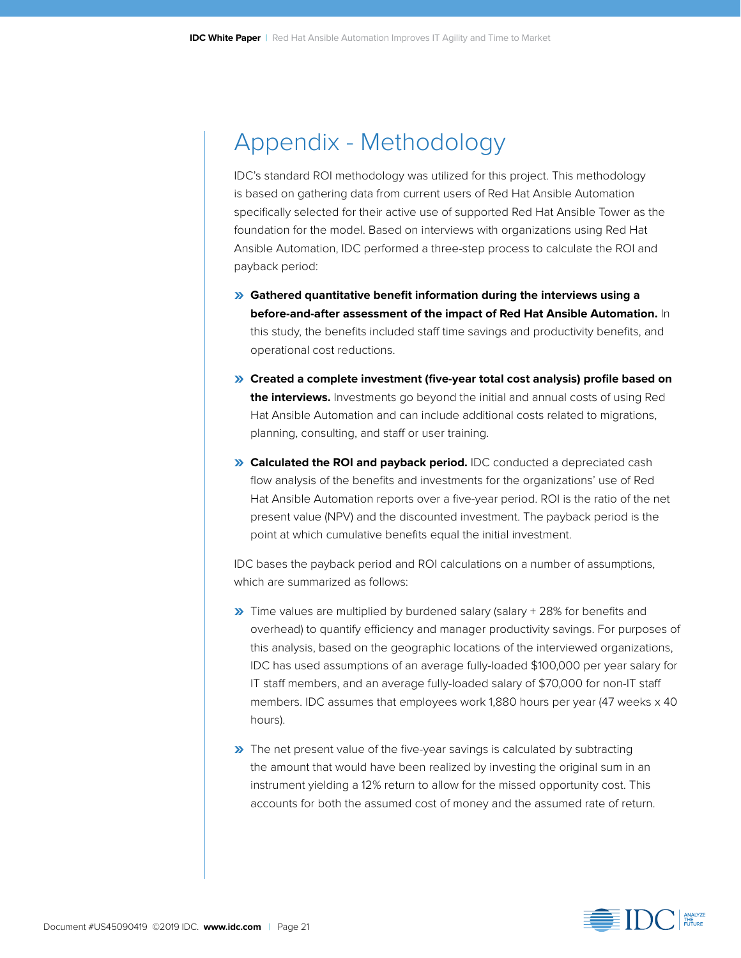## Appendix - Methodology

IDC's standard ROI methodology was utilized for this project. This methodology is based on gathering data from current users of Red Hat Ansible Automation specifically selected for their active use of supported Red Hat Ansible Tower as the foundation for the model. Based on interviews with organizations using Red Hat Ansible Automation, IDC performed a three-step process to calculate the ROI and payback period:

- **» Gathered quantitative benefit information during the interviews using a before-and-after assessment of the impact of Red Hat Ansible Automation.** In this study, the benefits included staff time savings and productivity benefits, and operational cost reductions.
- **» Created a complete investment (five-year total cost analysis) profile based on the interviews.** Investments go beyond the initial and annual costs of using Red Hat Ansible Automation and can include additional costs related to migrations, planning, consulting, and staff or user training.
- **» Calculated the ROI and payback period.** IDC conducted a depreciated cash flow analysis of the benefits and investments for the organizations' use of Red Hat Ansible Automation reports over a five-year period. ROI is the ratio of the net present value (NPV) and the discounted investment. The payback period is the point at which cumulative benefits equal the initial investment.

IDC bases the payback period and ROI calculations on a number of assumptions, which are summarized as follows:

- **»** Time values are multiplied by burdened salary (salary + 28% for benefits and overhead) to quantify efficiency and manager productivity savings. For purposes of this analysis, based on the geographic locations of the interviewed organizations, IDC has used assumptions of an average fully-loaded \$100,000 per year salary for IT staff members, and an average fully-loaded salary of \$70,000 for non-IT staff members. IDC assumes that employees work 1,880 hours per year (47 weeks x 40 hours).
- **»** The net present value of the five-year savings is calculated by subtracting the amount that would have been realized by investing the original sum in an instrument yielding a 12% return to allow for the missed opportunity cost. This accounts for both the assumed cost of money and the assumed rate of return.